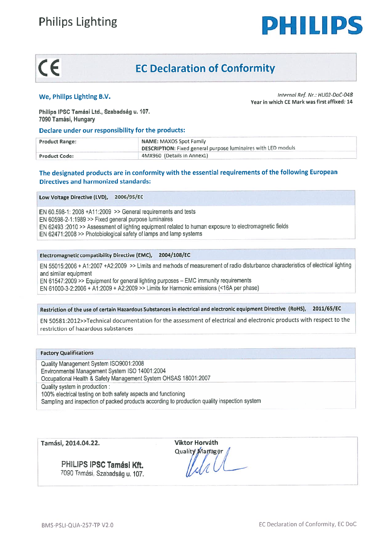



## C E EC Declaration of Conformity

## Declare under our responsibility for the products:

| <b>Philips Lighting</b>                                                                          | PHILIPS                                                                                                |  |  |  |
|--------------------------------------------------------------------------------------------------|--------------------------------------------------------------------------------------------------------|--|--|--|
| CE<br><b>EC Declaration of Conformity</b>                                                        |                                                                                                        |  |  |  |
| We, Philips Lighting B.V.<br>Philips IPSC Tamási Ltd., Szabadság u. 107.<br>7090 Tamási, Hungary | Internal Ref. Nr.: HU02-DoC-048<br>Year in which CE Mark was first affixed: 14                         |  |  |  |
| Declare under our responsibility for the products:                                               |                                                                                                        |  |  |  |
| <b>Product Range:</b>                                                                            | <b>NAME: MAXOS Spot Family</b><br><b>DESCRIPTION:</b> Fixed general purpose luminaires with LED moduls |  |  |  |
| <b>Product Code:</b>                                                                             | 4MX960 (Details in Annex1)                                                                             |  |  |  |

# Directives and harmonized standards:

Low Voltage Directive (LVD), 2006/95/EC

EN 60.598-1:  $2008 + A11:2009$  >> General requirements and tests EN 60598-2-1:1989» Fixed general purpose luminaires EN <sup>62493</sup> :2010 » Assessment of Iighting equipment related to human exposure to electromagnetic fields **Philips Lighting<br>
CC EC Declaration of Conformity<br>
We, Philips Lighting B.V.**<br>
Philips Lighting B.V.<br>
Philips Lighting B.V.<br>
Philips Lighting B.V.<br>
Philips Lighting B.V.<br>
Philips Lighting B.V.<br>
Philips Lighting B.V.<br>
Phil

### Electromagnetic compatibility Directive (EMC), 2004/108/EC

EN 55015:2006 <sup>+</sup> Al :2007 +A2:2009 Limits and methods of measurement of radio disturbance characteristics of electrical Iighting and símilar equipment EN 61547:2009 >> Equipment for general lighting purposes - EMC immunity requirements EN 61000-3-2:2006 + A1:2009 + A2:2009 >> Limits for Harmonic emissions (<16A per phase) **Philips Lighting From Conformity**<br>
Yee, Philips Lighting B.V.<br>
Thillips Lighting B.V.<br>
Year in which can be a stress given to conform the state of the words of the state of the state of the state of the state of the stat

## Restriction of the use of certain Hazardous Substances in electrical and electronic equipment Directive (R0HS), 2011/65/EC

EN 50581.:2012»Technical documentation for the assessment of electrical and electronic products with respec<sup>t</sup> to the restriction of hazardous substances

## Pactory Qualifications

Quality Management System ISO9001:2008 Environmental Management System ISO 14001:2004<br>Occupational Health & Safety Management System OHSAS 18001:2007 Quality system in production: 100% electrical testing on both safety aspects and functioning Sampling and inspection of packed products according to production quality inspection system

Tamási, 2014.04.22. Viktor Horváth

PHILIPS IPSC Tamási Kft. 7090 Tamási, Szabadság u. 107.

Quality Marrager /